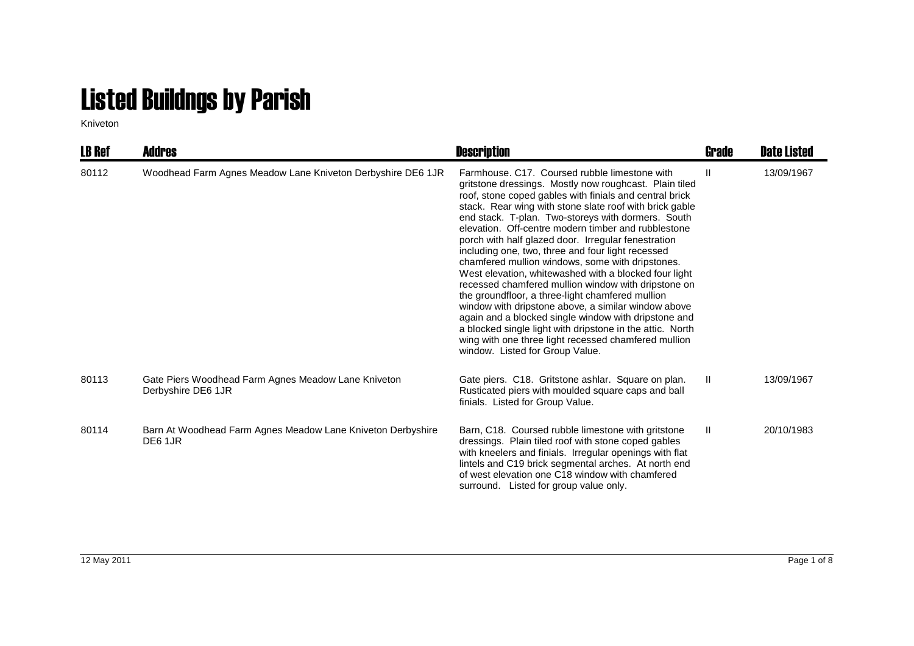## Listed Buildngs by Parish

Kniveton

| <b>LB Ref</b> | <b>Addres</b>                                                             | <b>Description</b>                                                                                                                                                                                                                                                                                                                                                                                                                                                                                                                                                                                                                                                                                                                                                                                                                                                                                                                                    | Grade | <b>Date Listed</b> |
|---------------|---------------------------------------------------------------------------|-------------------------------------------------------------------------------------------------------------------------------------------------------------------------------------------------------------------------------------------------------------------------------------------------------------------------------------------------------------------------------------------------------------------------------------------------------------------------------------------------------------------------------------------------------------------------------------------------------------------------------------------------------------------------------------------------------------------------------------------------------------------------------------------------------------------------------------------------------------------------------------------------------------------------------------------------------|-------|--------------------|
| 80112         | Woodhead Farm Agnes Meadow Lane Kniveton Derbyshire DE6 1JR               | Farmhouse. C17. Coursed rubble limestone with<br>gritstone dressings. Mostly now roughcast. Plain tiled<br>roof, stone coped gables with finials and central brick<br>stack. Rear wing with stone slate roof with brick gable<br>end stack. T-plan. Two-storeys with dormers. South<br>elevation. Off-centre modern timber and rubblestone<br>porch with half glazed door. Irregular fenestration<br>including one, two, three and four light recessed<br>chamfered mullion windows, some with dripstones.<br>West elevation, whitewashed with a blocked four light<br>recessed chamfered mullion window with dripstone on<br>the groundfloor, a three-light chamfered mullion<br>window with dripstone above, a similar window above<br>again and a blocked single window with dripstone and<br>a blocked single light with dripstone in the attic. North<br>wing with one three light recessed chamfered mullion<br>window. Listed for Group Value. | Ш     | 13/09/1967         |
| 80113         | Gate Piers Woodhead Farm Agnes Meadow Lane Kniveton<br>Derbyshire DE6 1JR | Gate piers. C18. Gritstone ashlar. Square on plan.<br>Rusticated piers with moulded square caps and ball<br>finials. Listed for Group Value.                                                                                                                                                                                                                                                                                                                                                                                                                                                                                                                                                                                                                                                                                                                                                                                                          | Ш.    | 13/09/1967         |
| 80114         | Barn At Woodhead Farm Agnes Meadow Lane Kniveton Derbyshire<br>DE6 1JR    | Barn, C18. Coursed rubble limestone with gritstone<br>dressings. Plain tiled roof with stone coped gables<br>with kneelers and finials. Irregular openings with flat<br>lintels and C19 brick segmental arches. At north end<br>of west elevation one C18 window with chamfered<br>surround. Listed for group value only.                                                                                                                                                                                                                                                                                                                                                                                                                                                                                                                                                                                                                             | Ш     | 20/10/1983         |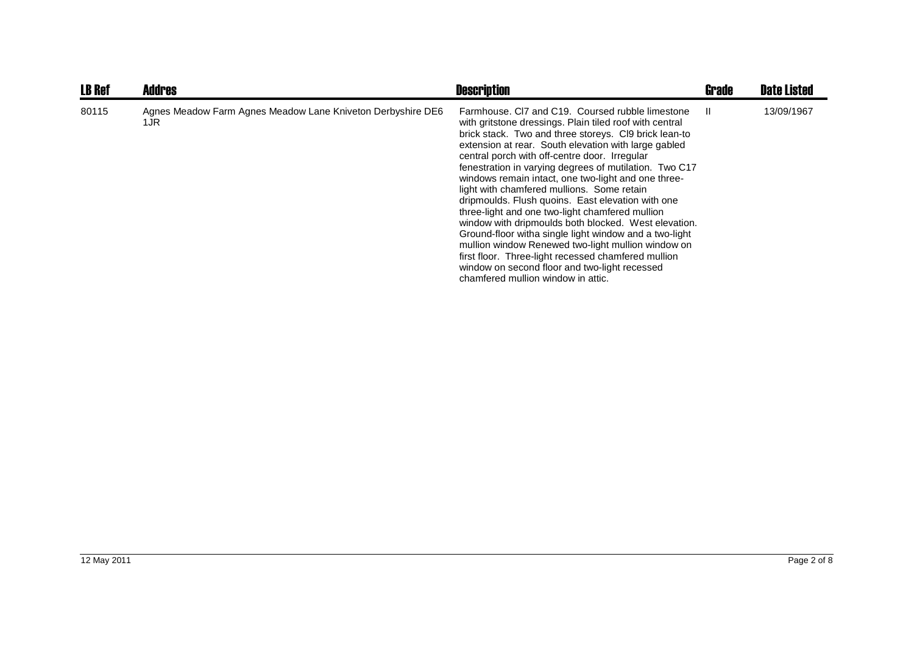| <b>LB Ref</b> | <b>Addres</b>                                                       | <b>Description</b>                                                                                                                                                                                                                                                                                                                                                                                                                                                                                                                                                                                                                                                                                                                                                                                                                                                         | <b>Grade</b> | <b>Date Listed</b> |
|---------------|---------------------------------------------------------------------|----------------------------------------------------------------------------------------------------------------------------------------------------------------------------------------------------------------------------------------------------------------------------------------------------------------------------------------------------------------------------------------------------------------------------------------------------------------------------------------------------------------------------------------------------------------------------------------------------------------------------------------------------------------------------------------------------------------------------------------------------------------------------------------------------------------------------------------------------------------------------|--------------|--------------------|
| 80115         | Agnes Meadow Farm Agnes Meadow Lane Kniveton Derbyshire DE6<br>1JR. | Farmhouse, CI7 and C19. Coursed rubble limestone<br>with gritstone dressings. Plain tiled roof with central<br>brick stack. Two and three storeys. CI9 brick lean-to<br>extension at rear. South elevation with large gabled<br>central porch with off-centre door. Irregular<br>fenestration in varying degrees of mutilation. Two C17<br>windows remain intact, one two-light and one three-<br>light with chamfered mullions. Some retain<br>dripmoulds. Flush quoins. East elevation with one<br>three-light and one two-light chamfered mullion<br>window with dripmoulds both blocked. West elevation.<br>Ground-floor witha single light window and a two-light<br>mullion window Renewed two-light mullion window on<br>first floor. Three-light recessed chamfered mullion<br>window on second floor and two-light recessed<br>chamfered mullion window in attic. | H.           | 13/09/1967         |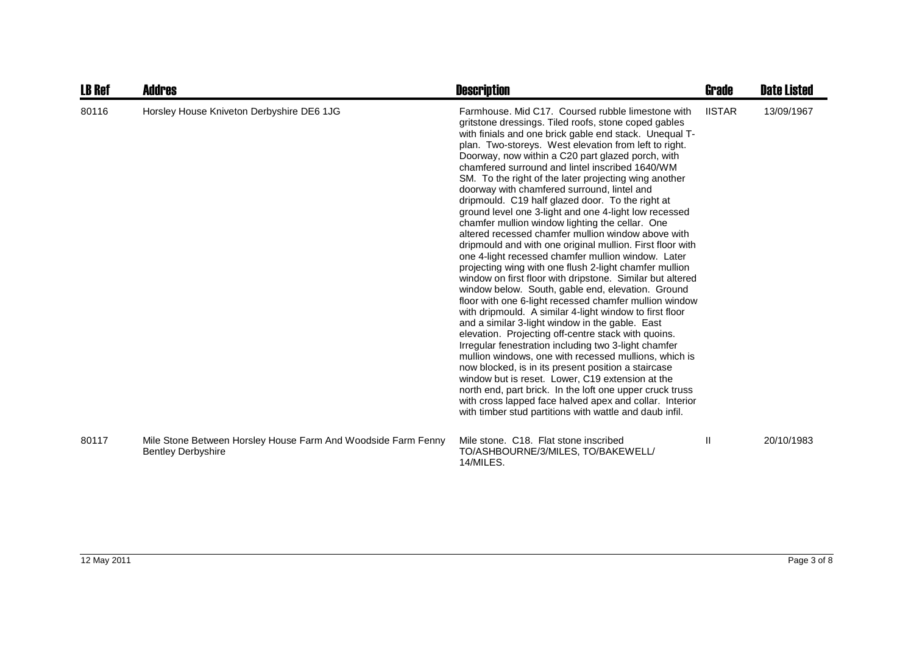| LB Ref | <b>Addres</b>                                                                              | <b>Description</b>                                                                                                                                                                                                                                                                                                                                                                                                                                                                                                                                                                                                                                                                                                                                                                                                                                                                                                                                                                                                                                                                                                                                                                                                                                                                                                                                                                                                                                                                                                                                                                                             | Grade         | <b>Date Listed</b> |
|--------|--------------------------------------------------------------------------------------------|----------------------------------------------------------------------------------------------------------------------------------------------------------------------------------------------------------------------------------------------------------------------------------------------------------------------------------------------------------------------------------------------------------------------------------------------------------------------------------------------------------------------------------------------------------------------------------------------------------------------------------------------------------------------------------------------------------------------------------------------------------------------------------------------------------------------------------------------------------------------------------------------------------------------------------------------------------------------------------------------------------------------------------------------------------------------------------------------------------------------------------------------------------------------------------------------------------------------------------------------------------------------------------------------------------------------------------------------------------------------------------------------------------------------------------------------------------------------------------------------------------------------------------------------------------------------------------------------------------------|---------------|--------------------|
| 80116  | Horsley House Kniveton Derbyshire DE6 1JG                                                  | Farmhouse, Mid C17. Coursed rubble limestone with<br>gritstone dressings. Tiled roofs, stone coped gables<br>with finials and one brick gable end stack. Unequal T-<br>plan. Two-storeys. West elevation from left to right.<br>Doorway, now within a C20 part glazed porch, with<br>chamfered surround and lintel inscribed 1640/WM<br>SM. To the right of the later projecting wing another<br>doorway with chamfered surround, lintel and<br>dripmould. C19 half glazed door. To the right at<br>ground level one 3-light and one 4-light low recessed<br>chamfer mullion window lighting the cellar. One<br>altered recessed chamfer mullion window above with<br>dripmould and with one original mullion. First floor with<br>one 4-light recessed chamfer mullion window. Later<br>projecting wing with one flush 2-light chamfer mullion<br>window on first floor with dripstone. Similar but altered<br>window below. South, gable end, elevation. Ground<br>floor with one 6-light recessed chamfer mullion window<br>with dripmould. A similar 4-light window to first floor<br>and a similar 3-light window in the gable. East<br>elevation. Projecting off-centre stack with quoins.<br>Irregular fenestration including two 3-light chamfer<br>mullion windows, one with recessed mullions, which is<br>now blocked, is in its present position a staircase<br>window but is reset. Lower, C19 extension at the<br>north end, part brick. In the loft one upper cruck truss<br>with cross lapped face halved apex and collar. Interior<br>with timber stud partitions with wattle and daub infil. | <b>IISTAR</b> | 13/09/1967         |
| 80117  | Mile Stone Between Horsley House Farm And Woodside Farm Fenny<br><b>Bentley Derbyshire</b> | Mile stone. C18. Flat stone inscribed<br>TO/ASHBOURNE/3/MILES, TO/BAKEWELL/<br>14/MILES.                                                                                                                                                                                                                                                                                                                                                                                                                                                                                                                                                                                                                                                                                                                                                                                                                                                                                                                                                                                                                                                                                                                                                                                                                                                                                                                                                                                                                                                                                                                       | Ш             | 20/10/1983         |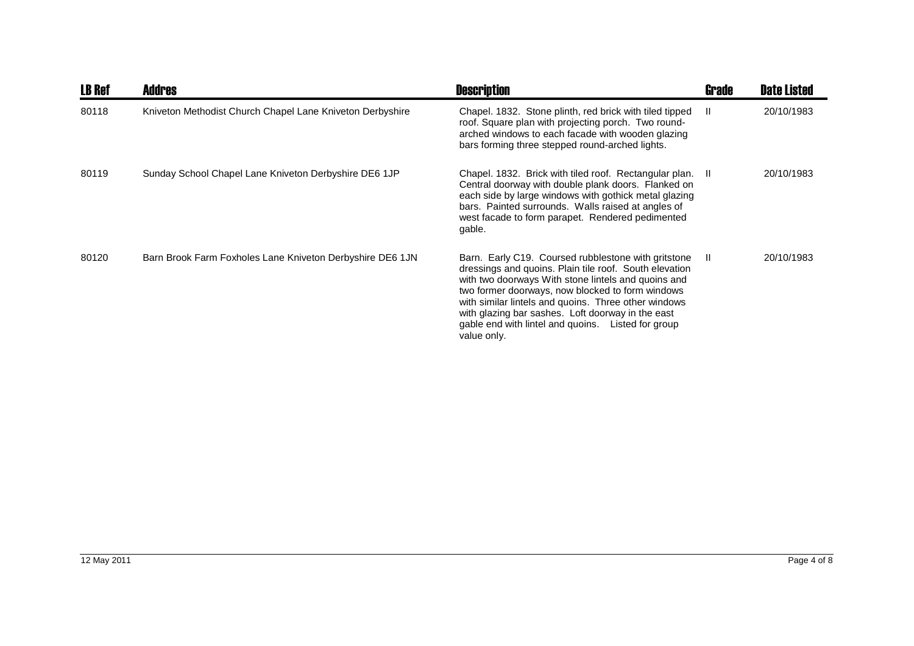| <b>LB Ref</b> | <b>Addres</b>                                             | <b>Description</b>                                                                                                                                                                                                                                                                                                                                                                                         | <b>Grade</b> | <b>Date Listed</b> |
|---------------|-----------------------------------------------------------|------------------------------------------------------------------------------------------------------------------------------------------------------------------------------------------------------------------------------------------------------------------------------------------------------------------------------------------------------------------------------------------------------------|--------------|--------------------|
| 80118         | Kniveton Methodist Church Chapel Lane Kniveton Derbyshire | Chapel. 1832. Stone plinth, red brick with tiled tipped<br>roof. Square plan with projecting porch. Two round-<br>arched windows to each facade with wooden glazing<br>bars forming three stepped round-arched lights.                                                                                                                                                                                     | -II          | 20/10/1983         |
| 80119         | Sunday School Chapel Lane Kniveton Derbyshire DE6 1JP     | Chapel. 1832. Brick with tiled roof. Rectangular plan. II<br>Central doorway with double plank doors. Flanked on<br>each side by large windows with gothick metal glazing<br>bars. Painted surrounds. Walls raised at angles of<br>west facade to form parapet. Rendered pedimented<br>gable.                                                                                                              |              | 20/10/1983         |
| 80120         | Barn Brook Farm Foxholes Lane Kniveton Derbyshire DE6 1JN | Barn. Early C19. Coursed rubblestone with gritstone<br>dressings and quoins. Plain tile roof. South elevation<br>with two doorways With stone lintels and quoins and<br>two former doorways, now blocked to form windows<br>with similar lintels and quoins. Three other windows<br>with glazing bar sashes. Loft doorway in the east<br>gable end with lintel and quoins. Listed for group<br>value only. | -II          | 20/10/1983         |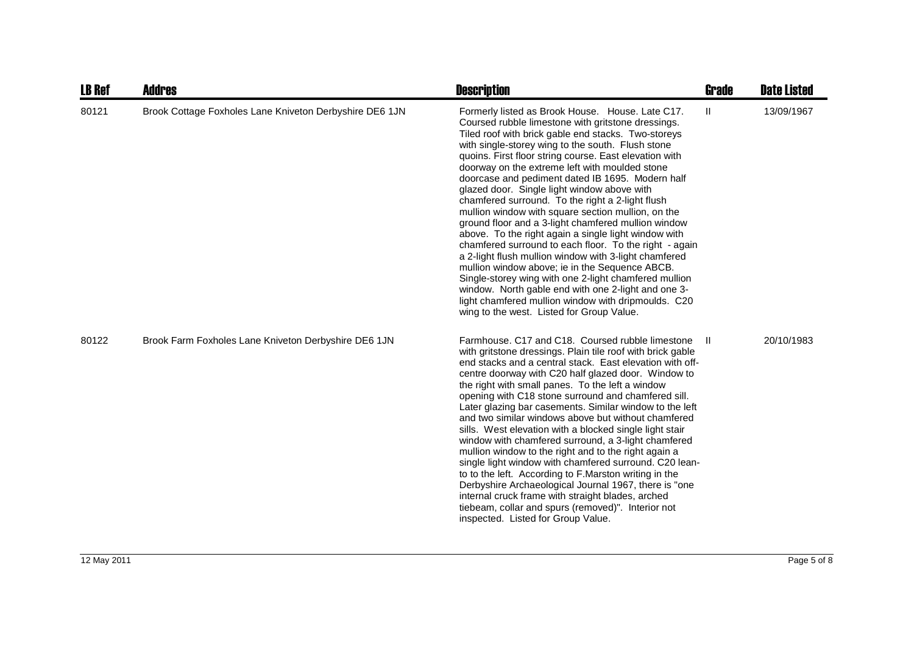| <b>LB Ref</b> | <b>Addres</b>                                           | <b>Description</b>                                                                                                                                                                                                                                                                                                                                                                                                                                                                                                                                                                                                                                                                                                                                                                                                                                                                                                                                                                                                                                  | <b>Grade</b>  | <b>Date Listed</b> |
|---------------|---------------------------------------------------------|-----------------------------------------------------------------------------------------------------------------------------------------------------------------------------------------------------------------------------------------------------------------------------------------------------------------------------------------------------------------------------------------------------------------------------------------------------------------------------------------------------------------------------------------------------------------------------------------------------------------------------------------------------------------------------------------------------------------------------------------------------------------------------------------------------------------------------------------------------------------------------------------------------------------------------------------------------------------------------------------------------------------------------------------------------|---------------|--------------------|
| 80121         | Brook Cottage Foxholes Lane Kniveton Derbyshire DE6 1JN | Formerly listed as Brook House. House. Late C17.<br>Coursed rubble limestone with gritstone dressings.<br>Tiled roof with brick gable end stacks. Two-storeys<br>with single-storey wing to the south. Flush stone<br>quoins. First floor string course. East elevation with<br>doorway on the extreme left with moulded stone<br>doorcase and pediment dated IB 1695. Modern half<br>glazed door. Single light window above with<br>chamfered surround. To the right a 2-light flush<br>mullion window with square section mullion, on the<br>ground floor and a 3-light chamfered mullion window<br>above. To the right again a single light window with<br>chamfered surround to each floor. To the right - again<br>a 2-light flush mullion window with 3-light chamfered<br>mullion window above; ie in the Sequence ABCB.<br>Single-storey wing with one 2-light chamfered mullion<br>window. North gable end with one 2-light and one 3-<br>light chamfered mullion window with dripmoulds. C20<br>wing to the west. Listed for Group Value. | $\mathbf{II}$ | 13/09/1967         |
| 80122         | Brook Farm Foxholes Lane Kniveton Derbyshire DE6 1JN    | Farmhouse. C17 and C18. Coursed rubble limestone<br>with gritstone dressings. Plain tile roof with brick gable<br>end stacks and a central stack. East elevation with off-<br>centre doorway with C20 half glazed door. Window to<br>the right with small panes. To the left a window<br>opening with C18 stone surround and chamfered sill.<br>Later glazing bar casements. Similar window to the left<br>and two similar windows above but without chamfered<br>sills. West elevation with a blocked single light stair<br>window with chamfered surround, a 3-light chamfered<br>mullion window to the right and to the right again a<br>single light window with chamfered surround. C20 lean-<br>to to the left. According to F.Marston writing in the<br>Derbyshire Archaeological Journal 1967, there is "one<br>internal cruck frame with straight blades, arched<br>tiebeam, collar and spurs (removed)". Interior not<br>inspected. Listed for Group Value.                                                                               | -H            | 20/10/1983         |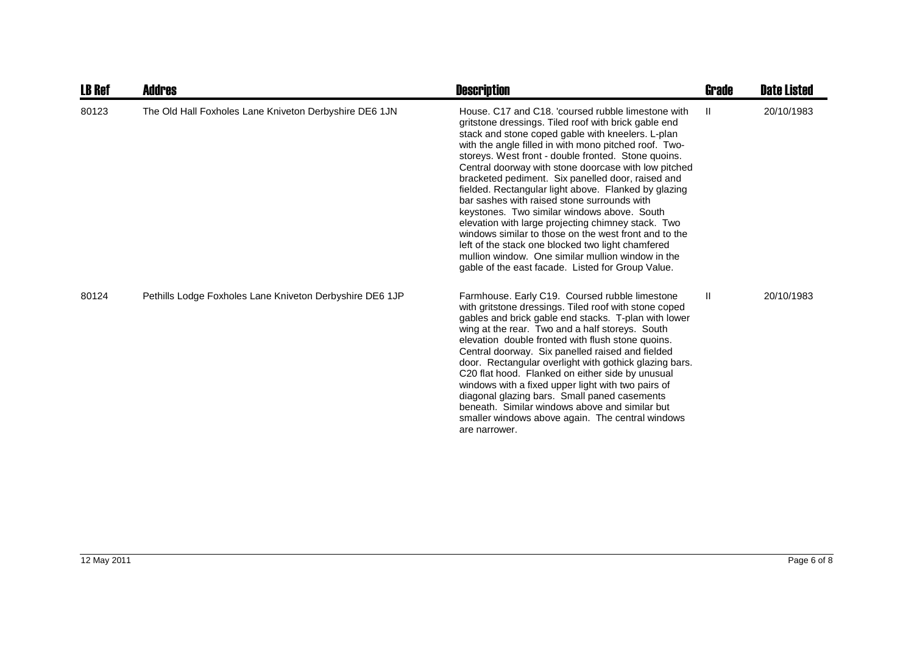| <b>LB Ref</b> | <b>Addres</b>                                            | <b>Description</b>                                                                                                                                                                                                                                                                                                                                                                                                                                                                                                                                                                                                                                                                                                                                                                                                               | Grade        | <b>Date Listed</b> |
|---------------|----------------------------------------------------------|----------------------------------------------------------------------------------------------------------------------------------------------------------------------------------------------------------------------------------------------------------------------------------------------------------------------------------------------------------------------------------------------------------------------------------------------------------------------------------------------------------------------------------------------------------------------------------------------------------------------------------------------------------------------------------------------------------------------------------------------------------------------------------------------------------------------------------|--------------|--------------------|
| 80123         | The Old Hall Foxholes Lane Kniveton Derbyshire DE6 1JN   | House, C17 and C18, 'coursed rubble limestone with<br>gritstone dressings. Tiled roof with brick gable end<br>stack and stone coped gable with kneelers. L-plan<br>with the angle filled in with mono pitched roof. Two-<br>storeys. West front - double fronted. Stone quoins.<br>Central doorway with stone doorcase with low pitched<br>bracketed pediment. Six panelled door, raised and<br>fielded. Rectangular light above. Flanked by glazing<br>bar sashes with raised stone surrounds with<br>keystones. Two similar windows above. South<br>elevation with large projecting chimney stack. Two<br>windows similar to those on the west front and to the<br>left of the stack one blocked two light chamfered<br>mullion window. One similar mullion window in the<br>gable of the east facade. Listed for Group Value. | $\mathbf{H}$ | 20/10/1983         |
| 80124         | Pethills Lodge Foxholes Lane Kniveton Derbyshire DE6 1JP | Farmhouse. Early C19. Coursed rubble limestone<br>with gritstone dressings. Tiled roof with stone coped<br>gables and brick gable end stacks. T-plan with lower<br>wing at the rear. Two and a half storeys. South<br>elevation double fronted with flush stone quoins.<br>Central doorway. Six panelled raised and fielded<br>door. Rectangular overlight with gothick glazing bars.<br>C20 flat hood. Flanked on either side by unusual<br>windows with a fixed upper light with two pairs of<br>diagonal glazing bars. Small paned casements<br>beneath. Similar windows above and similar but<br>smaller windows above again. The central windows<br>are narrower.                                                                                                                                                           | $\mathbf{H}$ | 20/10/1983         |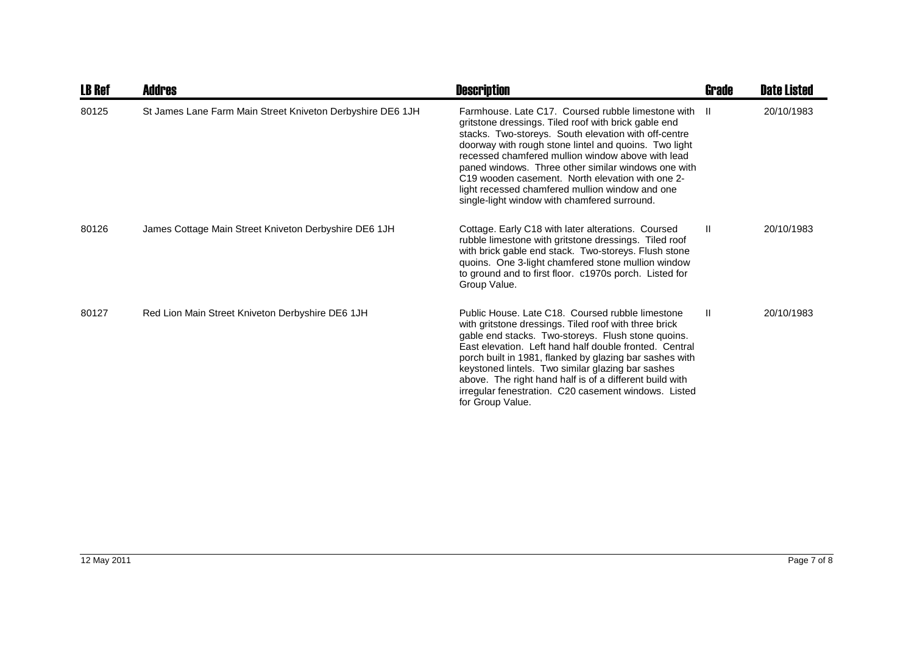| <b>LB Ref</b> | <b>Addres</b>                                              | <b>Description</b>                                                                                                                                                                                                                                                                                                                                                                                                                                                                                | Grade         | <b>Date Listed</b> |
|---------------|------------------------------------------------------------|---------------------------------------------------------------------------------------------------------------------------------------------------------------------------------------------------------------------------------------------------------------------------------------------------------------------------------------------------------------------------------------------------------------------------------------------------------------------------------------------------|---------------|--------------------|
| 80125         | St James Lane Farm Main Street Kniveton Derbyshire DE6 1JH | Farmhouse, Late C17. Coursed rubble limestone with II<br>gritstone dressings. Tiled roof with brick gable end<br>stacks. Two-storeys. South elevation with off-centre<br>doorway with rough stone lintel and quoins. Two light<br>recessed chamfered mullion window above with lead<br>paned windows. Three other similar windows one with<br>C19 wooden casement. North elevation with one 2-<br>light recessed chamfered mullion window and one<br>single-light window with chamfered surround. |               | 20/10/1983         |
| 80126         | James Cottage Main Street Kniveton Derbyshire DE6 1JH      | Cottage. Early C18 with later alterations. Coursed<br>rubble limestone with gritstone dressings. Tiled roof<br>with brick gable end stack. Two-storeys. Flush stone<br>quoins. One 3-light chamfered stone mullion window<br>to ground and to first floor. c1970s porch. Listed for<br>Group Value.                                                                                                                                                                                               | $\mathbf{II}$ | 20/10/1983         |
| 80127         | Red Lion Main Street Kniveton Derbyshire DE6 1JH           | Public House. Late C18. Coursed rubble limestone<br>with gritstone dressings. Tiled roof with three brick<br>gable end stacks. Two-storeys. Flush stone quoins.<br>East elevation. Left hand half double fronted. Central<br>porch built in 1981, flanked by glazing bar sashes with<br>keystoned lintels. Two similar glazing bar sashes<br>above. The right hand half is of a different build with<br>irregular fenestration. C20 casement windows. Listed<br>for Group Value.                  | $\mathbf{H}$  | 20/10/1983         |